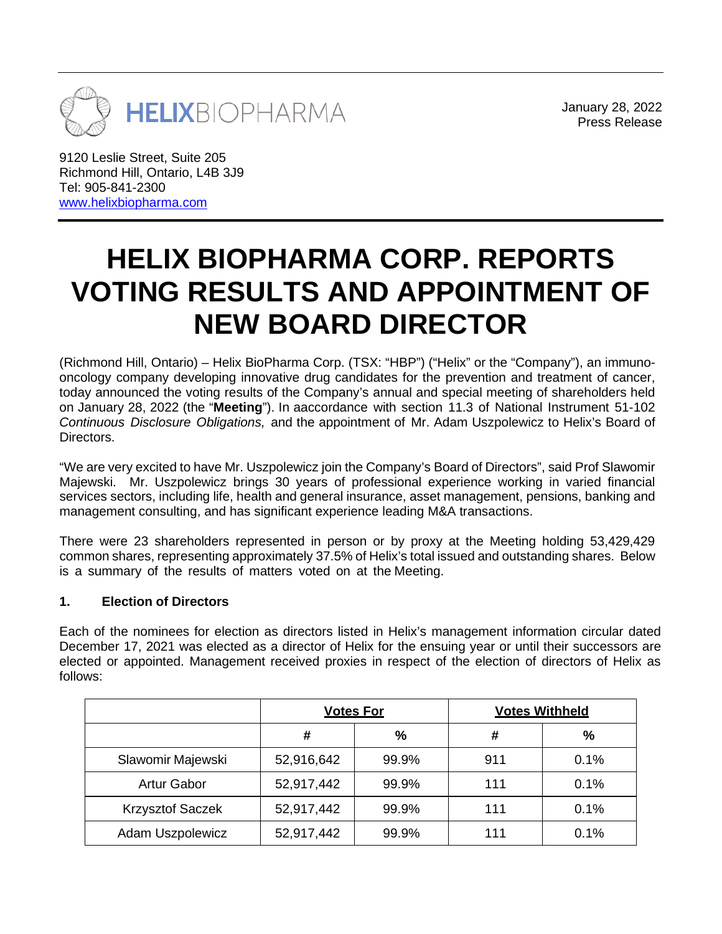

January 28, 2022 Press Release

9120 Leslie Street, Suite 205 Richmond Hill, Ontario, L4B 3J9 Tel: 905-841-2300 [www.helixbiopharma.com](http://www.helixbiopharma.com/)

# **HELIX BIOPHARMA CORP. REPORTS VOTING RESULTS AND APPOINTMENT OF NEW BOARD DIRECTOR**

(Richmond Hill, Ontario) – Helix BioPharma Corp. (TSX: "HBP") ("Helix" or the "Company"), an immunooncology company developing innovative drug candidates for the prevention and treatment of cancer, today announced the voting results of the Company's annual and special meeting of shareholders held on January 28, 2022 (the "**Meeting**"). In aaccordance with section 11.3 of National Instrument 51-102 *Continuous Disclosure Obligations,* and the appointment of Mr. Adam Uszpolewicz to Helix's Board of Directors.

"We are very excited to have Mr. Uszpolewicz join the Company's Board of Directors", said Prof Slawomir Majewski. Mr. Uszpolewicz brings 30 years of professional experience working in varied financial services sectors, including life, health and general insurance, asset management, pensions, banking and management consulting, and has significant experience leading M&A transactions.

There were 23 shareholders represented in person or by proxy at the Meeting holding 53,429,429 common shares, representing approximately 37.5% of Helix's total issued and outstanding shares. Below is a summary of the results of matters voted on at the Meeting.

#### **1. Election of Directors**

Each of the nominees for election as directors listed in Helix's management information circular dated December 17, 2021 was elected as a director of Helix for the ensuing year or until their successors are elected or appointed. Management received proxies in respect of the election of directors of Helix as follows:

|                         | <b>Votes For</b> |               | <b>Votes Withheld</b> |      |
|-------------------------|------------------|---------------|-----------------------|------|
|                         | #                | $\frac{0}{0}$ | #                     | %    |
| Slawomir Majewski       | 52,916,642       | 99.9%         | 911                   | 0.1% |
| <b>Artur Gabor</b>      | 52,917,442       | 99.9%         | 111                   | 0.1% |
| <b>Krzysztof Saczek</b> | 52,917,442       | 99.9%         | 111                   | 0.1% |
| Adam Uszpolewicz        | 52,917,442       | 99.9%         | 111                   | 0.1% |